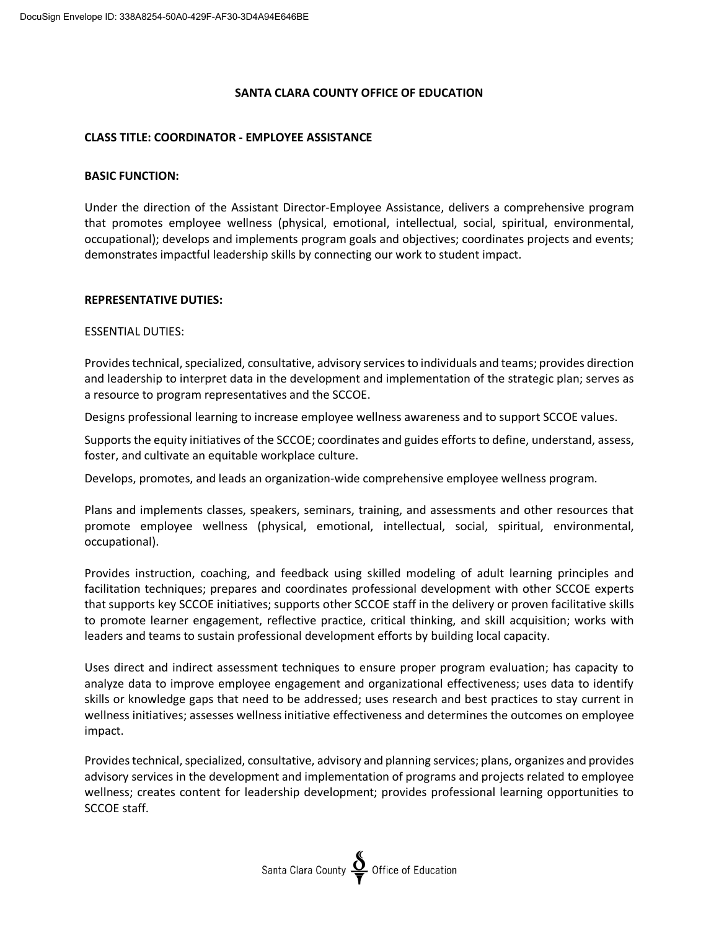## **SANTA CLARA COUNTY OFFICE OF EDUCATION**

### **CLASS TITLE: COORDINATOR - EMPLOYEE ASSISTANCE**

#### **BASIC FUNCTION:**

Under the direction of the Assistant Director-Employee Assistance, delivers a comprehensive program that promotes employee wellness (physical, emotional, intellectual, social, spiritual, environmental, occupational); develops and implements program goals and objectives; coordinates projects and events; demonstrates impactful leadership skills by connecting our work to student impact.

#### **REPRESENTATIVE DUTIES:**

#### ESSENTIAL DUTIES:

Provides technical, specialized, consultative, advisory services to individuals and teams; provides direction and leadership to interpret data in the development and implementation of the strategic plan; serves as a resource to program representatives and the SCCOE.

Designs professional learning to increase employee wellness awareness and to support SCCOE values.

Supports the equity initiatives of the SCCOE; coordinates and guides efforts to define, understand, assess, foster, and cultivate an equitable workplace culture.

Develops, promotes, and leads an organization-wide comprehensive employee wellness program.

Plans and implements classes, speakers, seminars, training, and assessments and other resources that promote employee wellness (physical, emotional, intellectual, social, spiritual, environmental, occupational).

Provides instruction, coaching, and feedback using skilled modeling of adult learning principles and facilitation techniques; prepares and coordinates professional development with other SCCOE experts that supports key SCCOE initiatives; supports other SCCOE staff in the delivery or proven facilitative skills to promote learner engagement, reflective practice, critical thinking, and skill acquisition; works with leaders and teams to sustain professional development efforts by building local capacity.

Uses direct and indirect assessment techniques to ensure proper program evaluation; has capacity to analyze data to improve employee engagement and organizational effectiveness; uses data to identify skills or knowledge gaps that need to be addressed; uses research and best practices to stay current in wellness initiatives; assesses wellness initiative effectiveness and determines the outcomes on employee impact.

Provides technical, specialized, consultative, advisory and planning services; plans, organizes and provides advisory services in the development and implementation of programs and projects related to employee wellness; creates content for leadership development; provides professional learning opportunities to SCCOE staff.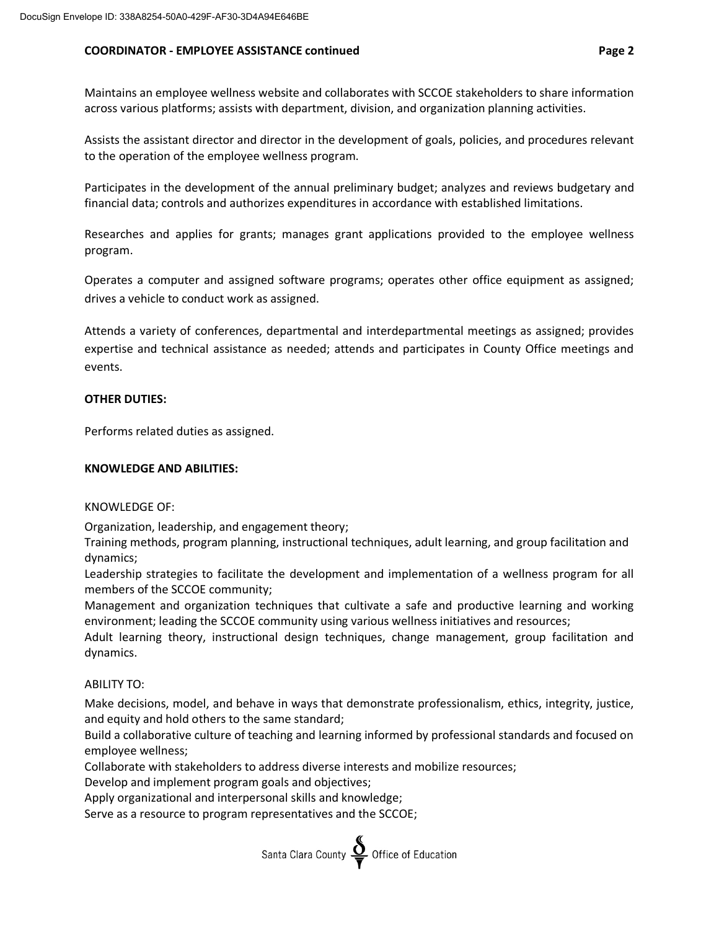### **COORDINATOR - EMPLOYEE ASSISTANCE continued Page 2**

Maintains an employee wellness website and collaborates with SCCOE stakeholders to share information across various platforms; assists with department, division, and organization planning activities.

Assists the assistant director and director in the development of goals, policies, and procedures relevant to the operation of the employee wellness program.

Participates in the development of the annual preliminary budget; analyzes and reviews budgetary and financial data; controls and authorizes expenditures in accordance with established limitations.

Researches and applies for grants; manages grant applications provided to the employee wellness program.

Operates a computer and assigned software programs; operates other office equipment as assigned; drives a vehicle to conduct work as assigned.

Attends a variety of conferences, departmental and interdepartmental meetings as assigned; provides expertise and technical assistance as needed; attends and participates in County Office meetings and events.

#### **OTHER DUTIES:**

Performs related duties as assigned.

### **KNOWLEDGE AND ABILITIES:**

#### KNOWLEDGE OF:

Organization, leadership, and engagement theory;

Training methods, program planning, instructional techniques, adult learning, and group facilitation and dynamics;

Leadership strategies to facilitate the development and implementation of a wellness program for all members of the SCCOE community;

Management and organization techniques that cultivate a safe and productive learning and working environment; leading the SCCOE community using various wellness initiatives and resources;

Adult learning theory, instructional design techniques, change management, group facilitation and dynamics.

## ABILITY TO:

Make decisions, model, and behave in ways that demonstrate professionalism, ethics, integrity, justice, and equity and hold others to the same standard;

Build a collaborative culture of teaching and learning informed by professional standards and focused on employee wellness;

Collaborate with stakeholders to address diverse interests and mobilize resources;

Develop and implement program goals and objectives;

Apply organizational and interpersonal skills and knowledge;

Serve as a resource to program representatives and the SCCOE;

Santa Clara County  $\sum_{\blacktriangledown}$  Office of Education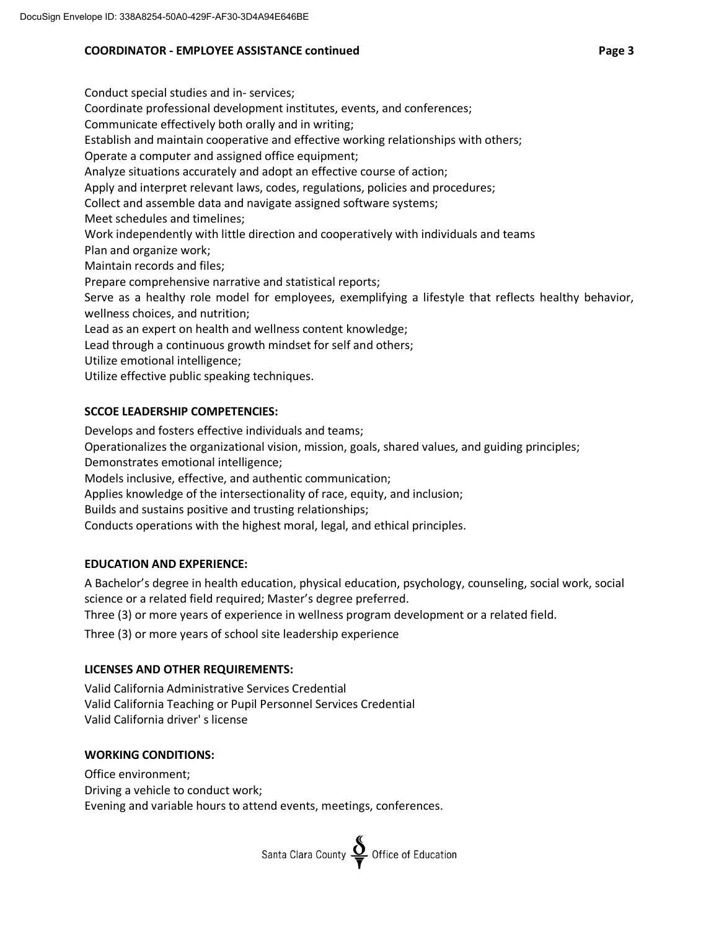# **COORDINATOR - EMPLOYEE ASSISTANCE continued Page 3**

Conduct special studies and in- services; Coordinate professional development institutes, events, and conferences; Communicate effectively both orally and in writing; Establish and maintain cooperative and effective working relationships with others; Operate a computer and assigned office equipment; Analyze situations accurately and adopt an effective course of action; Apply and interpret relevant laws, codes, regulations, policies and procedures; Collect and assemble data and navigate assigned software systems; Meet schedules and timelines; Work independently with little direction and cooperatively with individuals and teams Plan and organize work; Maintain records and files; Prepare comprehensive narrative and statistical reports; Serve as a healthy role model for employees, exemplifying a lifestyle that reflects healthy behavior, wellness choices, and nutrition; Lead as an expert on health and wellness content knowledge; Lead through a continuous growth mindset for self and others; Utilize emotional intelligence; Utilize effective public speaking techniques.

## **SCCOE LEADERSHIP COMPETENCIES:**

Develops and fosters effective individuals and teams;

Operationalizes the organizational vision, mission, goals, shared values, and guiding principles;

Demonstrates emotional intelligence;

Models inclusive, effective, and authentic communication;

Applies knowledge of the intersectionality of race, equity, and inclusion;

Builds and sustains positive and trusting relationships;

Conducts operations with the highest moral, legal, and ethical principles.

# **EDUCATION AND EXPERIENCE:**

A Bachelor's degree in health education, physical education, psychology, counseling, social work, social science or a related field required; Master's degree preferred.

Three (3) or more years of experience in wellness program development or a related field.

Three (3) or more years of school site leadership experience

# **LICENSES AND OTHER REQUIREMENTS:**

Valid California Administrative Services Credential Valid California Teaching or Pupil Personnel Services Credential Valid California driver' s license

# **WORKING CONDITIONS:**

Office environment; Driving a vehicle to conduct work; Evening and variable hours to attend events, meetings, conferences.